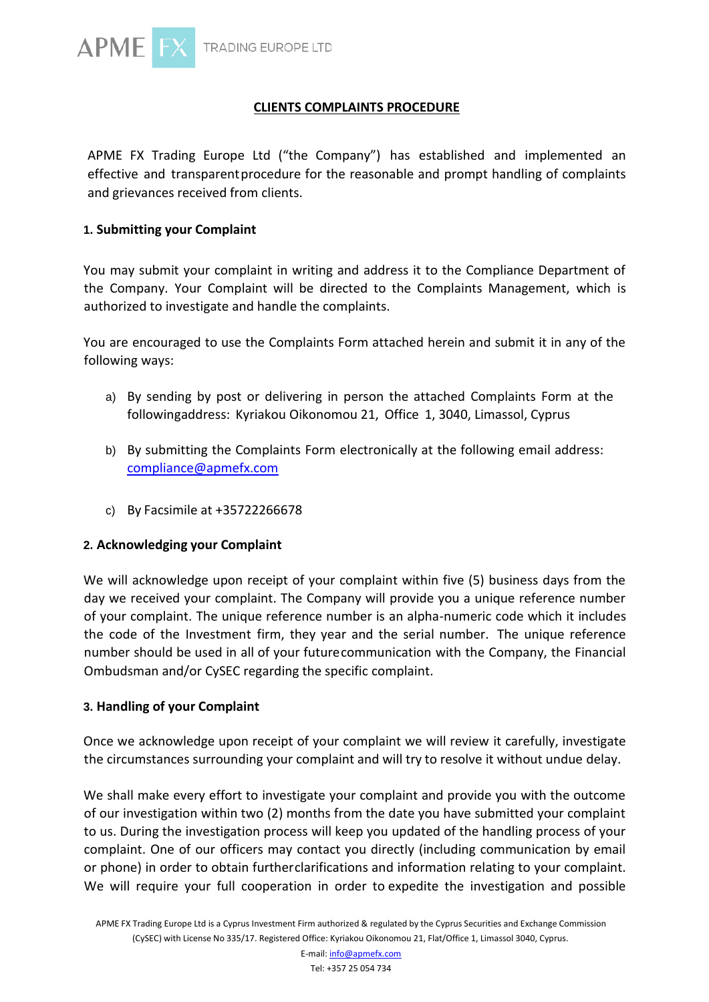

# **CLIENTS COMPLAINTS PROCEDURE**

APME FX Trading Europe Ltd ("the Company") has established and implemented an effective and transparent procedure for the reasonable and prompt handling of complaints and grievances received from clients.

## **1. Submitting your Complaint**

You may submit your complaint in writing and address it to the Compliance Department of the Company. Your Complaint will be directed to the Complaints Management, which is authorized to investigate and handle the complaints.

You are encouraged to use the Complaints Form attached herein and submit it in any of the following ways:

- a) By sending by post or delivering in person the attached Complaints Form at the followingaddress: Kyriakou Oikonomou 21, Office 1, 3040, Limassol, Cyprus
- b) By submitting the Complaints Form electronically at the following email address: [compliance@apmefx.com](mailto:compliance@apmefx.com)
- c) By Facsimile at +35722266678

### **2. Acknowledging your Complaint**

We will acknowledge upon receipt of your complaint within five (5) business days from the day we received your complaint. The Company will provide you a unique reference number of your complaint. The unique reference number is an alpha-numeric code which it includes the code of the Investment firm, they year and the serial number. The unique reference number should be used in all of your futurecommunication with the Company, the Financial Ombudsman and/or CySEC regarding the specific complaint.

### **3. Handling of your Complaint**

Once we acknowledge upon receipt of your complaint we will review it carefully, investigate the circumstances surrounding your complaint and will try to resolve it without undue delay.

We shall make every effort to investigate your complaint and provide you with the outcome of our investigation within two (2) months from the date you have submitted your complaint to us. During the investigation process will keep you updated of the handling process of your complaint. One of our officers may contact you directly (including communication by email or phone) in order to obtain furtherclarifications and information relating to your complaint. We will require your full cooperation in order to expedite the investigation and possible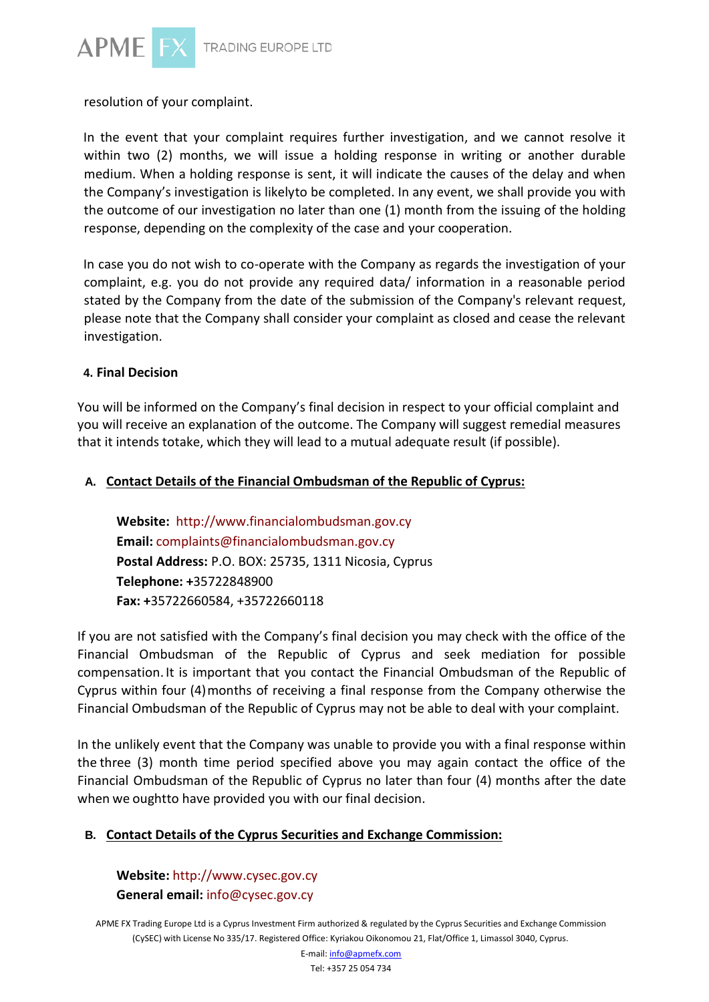

resolution of your complaint.

In the event that your complaint requires further investigation, and we cannot resolve it within two (2) months, we will issue a holding response in writing or another durable medium. When a holding response is sent, it will indicate the causes of the delay and when the Company's investigation is likelyto be completed. In any event, we shall provide you with the outcome of our investigation no later than one (1) month from the issuing of the holding response, depending on the complexity of the case and your cooperation.

In case you do not wish to co-operate with the Company as regards the investigation of your complaint, e.g. you do not provide any required data/ information in a reasonable period stated by the Company from the date of the submission of the Company's relevant request, please note that the Company shall consider your complaint as closed and cease the relevant investigation.

### **4. Final Decision**

You will be informed on the Company's final decision in respect to your official complaint and you will receive an explanation of the outcome. The Company will suggest remedial measures that it intends totake, which they will lead to a mutual adequate result (if possible).

# **A. Contact Details of the Financial Ombudsman of the Republic of Cyprus:**

**Website:** [http://www.financialombudsman.gov.cy](http://www.financialombudsman.gov.cy/) **Email:** [complaints@financialombudsman.gov.cy](mailto:complaints@financialombudsman.gov.cy) **Postal Address:** P.O. BOX: 25735, 1311 Nicosia, Cyprus **Telephone: +**35722848900 **Fax: +**35722660584, +35722660118

If you are not satisfied with the Company's final decision you may check with the office of the Financial Ombudsman of the Republic of Cyprus and seek mediation for possible compensation. It is important that you contact the Financial Ombudsman of the Republic of Cyprus within four (4)months of receiving a final response from the Company otherwise the Financial Ombudsman of the Republic of Cyprus may not be able to deal with your complaint.

In the unlikely event that the Company was unable to provide you with a final response within the three (3) month time period specified above you may again contact the office of the Financial Ombudsman of the Republic of Cyprus no later than four (4) months after the date when we oughtto have provided you with our final decision.

# **B. Contact Details of the Cyprus Securities and Exchange Commission:**

**Website:** [http://www.cysec.gov.cy](http://www.cysec.gov.cy/) **General email:** [info@cysec.gov.cy](mailto:info@cysec.gov.cy)

APME FX Trading Europe Ltd is a Cyprus Investment Firm authorized & regulated by the Cyprus Securities and Exchange Commission (CySEC) with License No 335/17. Registered Office: Kyriakou Oikonomou 21, Flat/Office 1, Limassol 3040, Cyprus.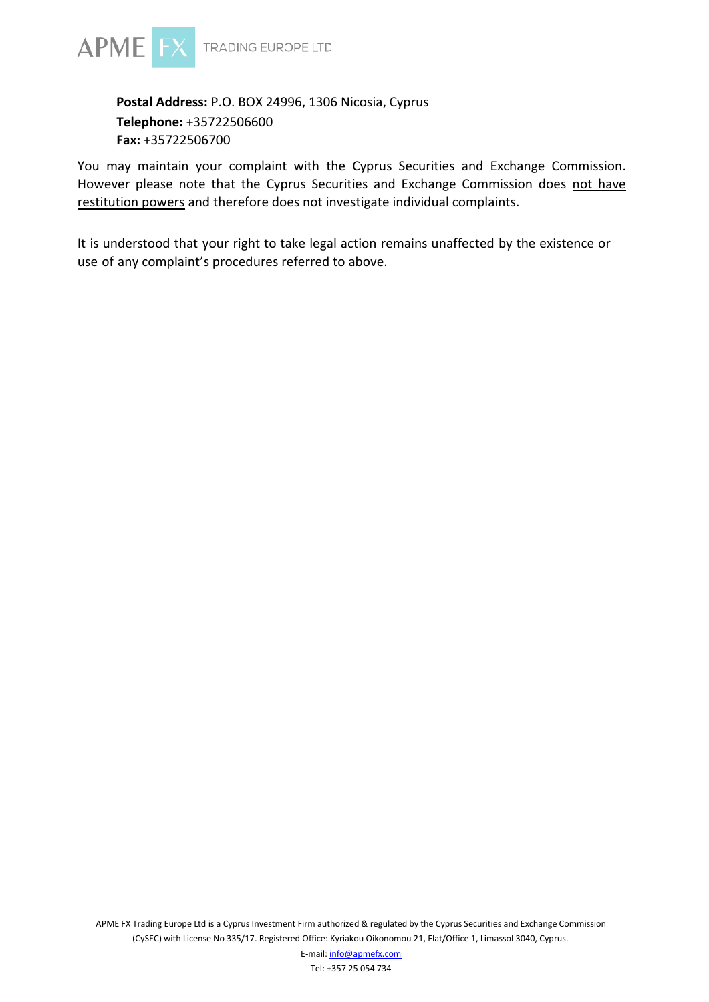

# **Postal Address:** P.O. BOX 24996, 1306 Nicosia, Cyprus **Telephone:** +35722506600 **Fax:** +35722506700

You may maintain your complaint with the Cyprus Securities and Exchange Commission. However please note that the Cyprus Securities and Exchange Commission does not have restitution powers and therefore does not investigate individual complaints.

It is understood that your right to take legal action remains unaffected by the existence or use of any complaint's procedures referred to above.